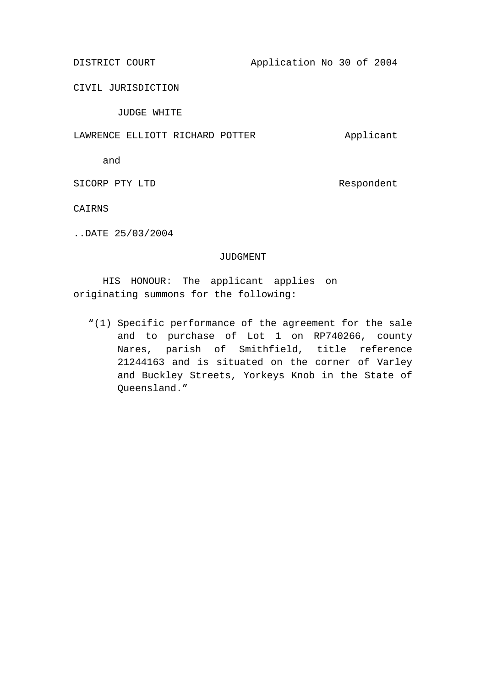DISTRICT COURT Application No 30 of 2004

CIVIL JURISDICTION

JUDGE WHITE

## LAWRENCE ELLIOTT RICHARD POTTER Applicant

and

SICORP PTY LTD Respondent

CAIRNS

..DATE 25/03/2004

## JUDGMENT

HIS HONOUR: The applicant applies on originating summons for the following:

"(1) Specific performance of the agreement for the sale and to purchase of Lot 1 on RP740266, county Nares, parish of Smithfield, title reference 21244163 and is situated on the corner of Varley and Buckley Streets, Yorkeys Knob in the State of Queensland."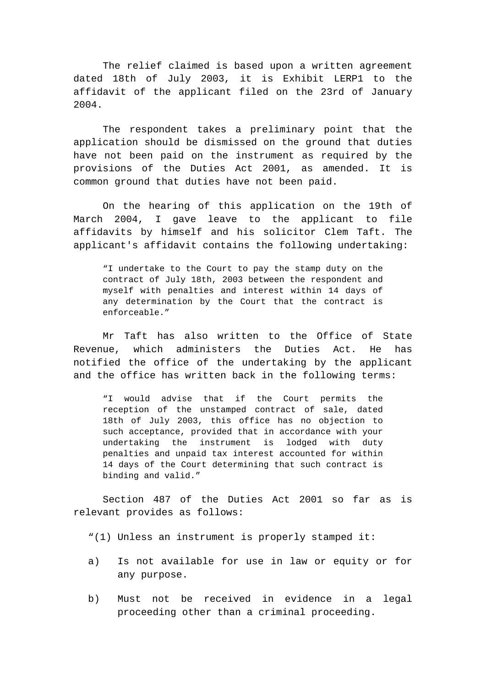The relief claimed is based upon a written agreement dated 18th of July 2003, it is Exhibit LERP1 to the affidavit of the applicant filed on the 23rd of January 2004.

The respondent takes a preliminary point that the application should be dismissed on the ground that duties have not been paid on the instrument as required by the provisions of the Duties Act 2001, as amended. It is common ground that duties have not been paid.

On the hearing of this application on the 19th of March 2004, I gave leave to the applicant to file affidavits by himself and his solicitor Clem Taft. The applicant's affidavit contains the following undertaking:

"I undertake to the Court to pay the stamp duty on the contract of July 18th, 2003 between the respondent and myself with penalties and interest within 14 days of any determination by the Court that the contract is enforceable."

Mr Taft has also written to the Office of State Revenue, which administers the Duties Act. He has notified the office of the undertaking by the applicant and the office has written back in the following terms:

"I would advise that if the Court permits the reception of the unstamped contract of sale, dated 18th of July 2003, this office has no objection to such acceptance, provided that in accordance with your undertaking the instrument is lodged with duty penalties and unpaid tax interest accounted for within 14 days of the Court determining that such contract is binding and valid."

Section 487 of the Duties Act 2001 so far as is relevant provides as follows:

"(1) Unless an instrument is properly stamped it:

- a) Is not available for use in law or equity or for any purpose.
- b) Must not be received in evidence in a legal proceeding other than a criminal proceeding.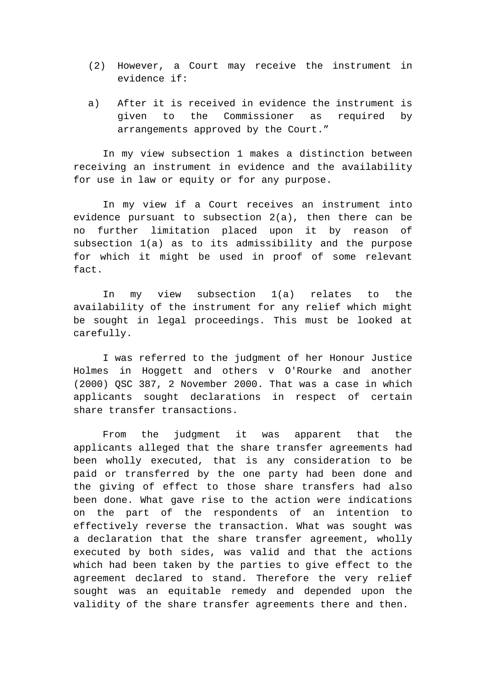- (2) However, a Court may receive the instrument in evidence if:
- a) After it is received in evidence the instrument is given to the Commissioner as required by arrangements approved by the Court."

In my view subsection 1 makes a distinction between receiving an instrument in evidence and the availability for use in law or equity or for any purpose.

In my view if a Court receives an instrument into evidence pursuant to subsection 2(a), then there can be no further limitation placed upon it by reason of subsection 1(a) as to its admissibility and the purpose for which it might be used in proof of some relevant fact.

In my view subsection 1(a) relates to the availability of the instrument for any relief which might be sought in legal proceedings. This must be looked at carefully.

I was referred to the judgment of her Honour Justice Holmes in Hoggett and others v O'Rourke and another (2000) QSC 387, 2 November 2000. That was a case in which applicants sought declarations in respect of certain share transfer transactions.

From the judgment it was apparent that the applicants alleged that the share transfer agreements had been wholly executed, that is any consideration to be paid or transferred by the one party had been done and the giving of effect to those share transfers had also been done. What gave rise to the action were indications on the part of the respondents of an intention to effectively reverse the transaction. What was sought was a declaration that the share transfer agreement, wholly executed by both sides, was valid and that the actions which had been taken by the parties to give effect to the agreement declared to stand. Therefore the very relief sought was an equitable remedy and depended upon the validity of the share transfer agreements there and then.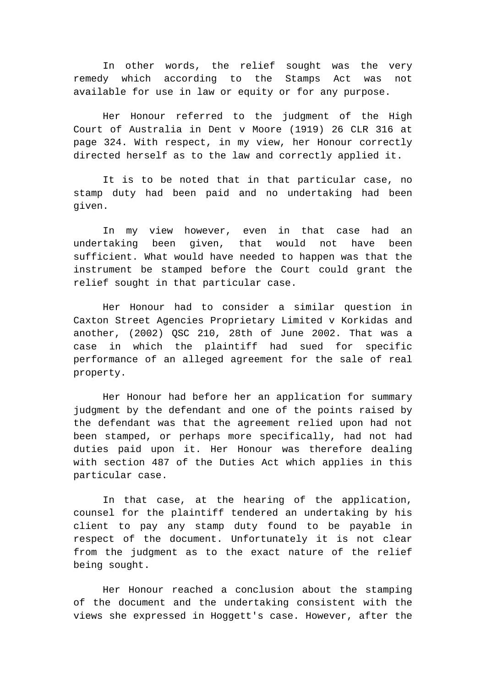In other words, the relief sought was the very remedy which according to the Stamps Act was not available for use in law or equity or for any purpose.

Her Honour referred to the judgment of the High Court of Australia in Dent v Moore (1919) 26 CLR 316 at page 324. With respect, in my view, her Honour correctly directed herself as to the law and correctly applied it.

It is to be noted that in that particular case, no stamp duty had been paid and no undertaking had been given.

In my view however, even in that case had an undertaking been given, that would not have been sufficient. What would have needed to happen was that the instrument be stamped before the Court could grant the relief sought in that particular case.

Her Honour had to consider a similar question in Caxton Street Agencies Proprietary Limited v Korkidas and another, (2002) QSC 210, 28th of June 2002. That was a case in which the plaintiff had sued for specific performance of an alleged agreement for the sale of real property.

Her Honour had before her an application for summary judgment by the defendant and one of the points raised by the defendant was that the agreement relied upon had not been stamped, or perhaps more specifically, had not had duties paid upon it. Her Honour was therefore dealing with section 487 of the Duties Act which applies in this particular case.

In that case, at the hearing of the application, counsel for the plaintiff tendered an undertaking by his client to pay any stamp duty found to be payable in respect of the document. Unfortunately it is not clear from the judgment as to the exact nature of the relief being sought.

Her Honour reached a conclusion about the stamping of the document and the undertaking consistent with the views she expressed in Hoggett's case. However, after the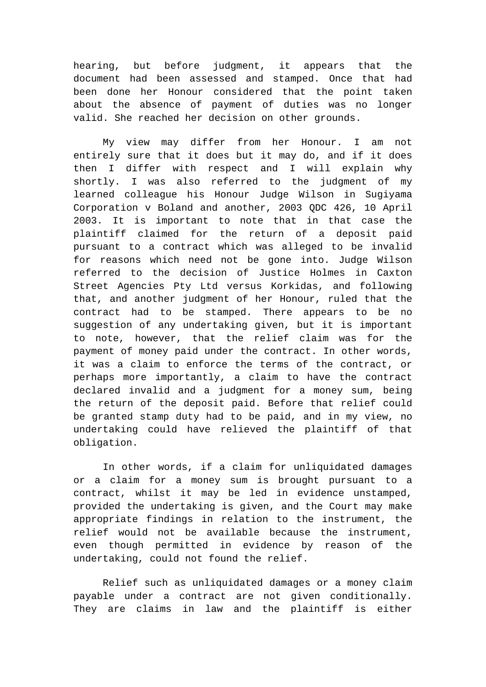hearing, but before judgment, it appears that the document had been assessed and stamped. Once that had been done her Honour considered that the point taken about the absence of payment of duties was no longer valid. She reached her decision on other grounds.

My view may differ from her Honour. I am not entirely sure that it does but it may do, and if it does then I differ with respect and I will explain why shortly. I was also referred to the judgment of my learned colleague his Honour Judge Wilson in Sugiyama Corporation v Boland and another, 2003 QDC 426, 10 April 2003. It is important to note that in that case the plaintiff claimed for the return of a deposit paid pursuant to a contract which was alleged to be invalid for reasons which need not be gone into. Judge Wilson referred to the decision of Justice Holmes in Caxton Street Agencies Pty Ltd versus Korkidas, and following that, and another judgment of her Honour, ruled that the contract had to be stamped. There appears to be no suggestion of any undertaking given, but it is important to note, however, that the relief claim was for the payment of money paid under the contract. In other words, it was a claim to enforce the terms of the contract, or perhaps more importantly, a claim to have the contract declared invalid and a judgment for a money sum, being the return of the deposit paid. Before that relief could be granted stamp duty had to be paid, and in my view, no undertaking could have relieved the plaintiff of that obligation.

In other words, if a claim for unliquidated damages or a claim for a money sum is brought pursuant to a contract, whilst it may be led in evidence unstamped, provided the undertaking is given, and the Court may make appropriate findings in relation to the instrument, the relief would not be available because the instrument, even though permitted in evidence by reason of the undertaking, could not found the relief.

Relief such as unliquidated damages or a money claim payable under a contract are not given conditionally. They are claims in law and the plaintiff is either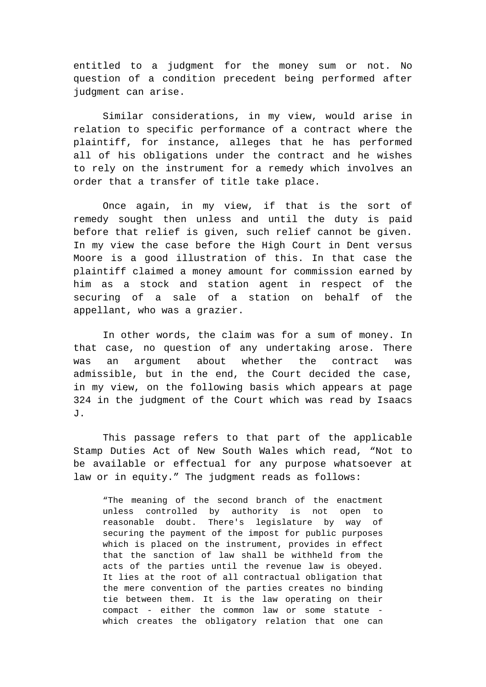entitled to a judgment for the money sum or not. No question of a condition precedent being performed after judgment can arise.

Similar considerations, in my view, would arise in relation to specific performance of a contract where the plaintiff, for instance, alleges that he has performed all of his obligations under the contract and he wishes to rely on the instrument for a remedy which involves an order that a transfer of title take place.

Once again, in my view, if that is the sort of remedy sought then unless and until the duty is paid before that relief is given, such relief cannot be given. In my view the case before the High Court in Dent versus Moore is a good illustration of this. In that case the plaintiff claimed a money amount for commission earned by him as a stock and station agent in respect of the securing of a sale of a station on behalf of the appellant, who was a grazier.

In other words, the claim was for a sum of money. In that case, no question of any undertaking arose. There was an argument about whether the contract was admissible, but in the end, the Court decided the case, in my view, on the following basis which appears at page 324 in the judgment of the Court which was read by Isaacs J.

This passage refers to that part of the applicable Stamp Duties Act of New South Wales which read, "Not to be available or effectual for any purpose whatsoever at law or in equity." The judgment reads as follows:

"The meaning of the second branch of the enactment unless controlled by authority is not open to reasonable doubt. There's legislature by way of securing the payment of the impost for public purposes which is placed on the instrument, provides in effect that the sanction of law shall be withheld from the acts of the parties until the revenue law is obeyed. It lies at the root of all contractual obligation that the mere convention of the parties creates no binding tie between them. It is the law operating on their compact - either the common law or some statute which creates the obligatory relation that one can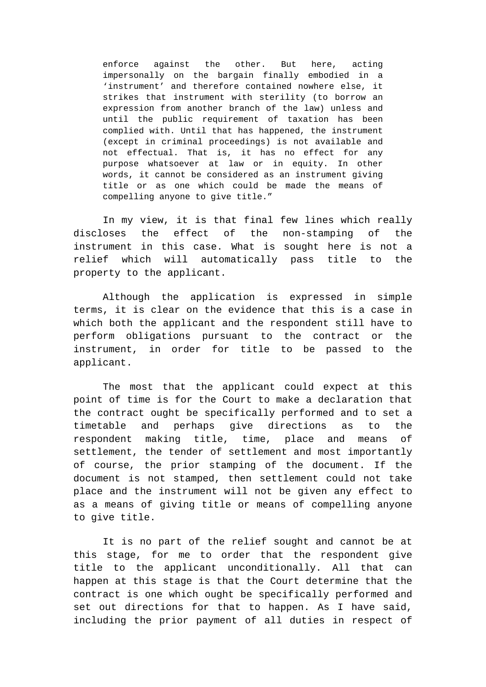enforce against the other. But here, acting impersonally on the bargain finally embodied in a 'instrument' and therefore contained nowhere else, it strikes that instrument with sterility (to borrow an expression from another branch of the law) unless and until the public requirement of taxation has been complied with. Until that has happened, the instrument (except in criminal proceedings) is not available and not effectual. That is, it has no effect for any purpose whatsoever at law or in equity. In other words, it cannot be considered as an instrument giving title or as one which could be made the means of compelling anyone to give title."

In my view, it is that final few lines which really discloses the effect of the non-stamping of the instrument in this case. What is sought here is not a relief which will automatically pass title to the property to the applicant.

Although the application is expressed in simple terms, it is clear on the evidence that this is a case in which both the applicant and the respondent still have to perform obligations pursuant to the contract or the instrument, in order for title to be passed to the applicant.

The most that the applicant could expect at this point of time is for the Court to make a declaration that the contract ought be specifically performed and to set a timetable and perhaps give directions as to the respondent making title, time, place and means of settlement, the tender of settlement and most importantly of course, the prior stamping of the document. If the document is not stamped, then settlement could not take place and the instrument will not be given any effect to as a means of giving title or means of compelling anyone to give title.

It is no part of the relief sought and cannot be at this stage, for me to order that the respondent give title to the applicant unconditionally. All that can happen at this stage is that the Court determine that the contract is one which ought be specifically performed and set out directions for that to happen. As I have said, including the prior payment of all duties in respect of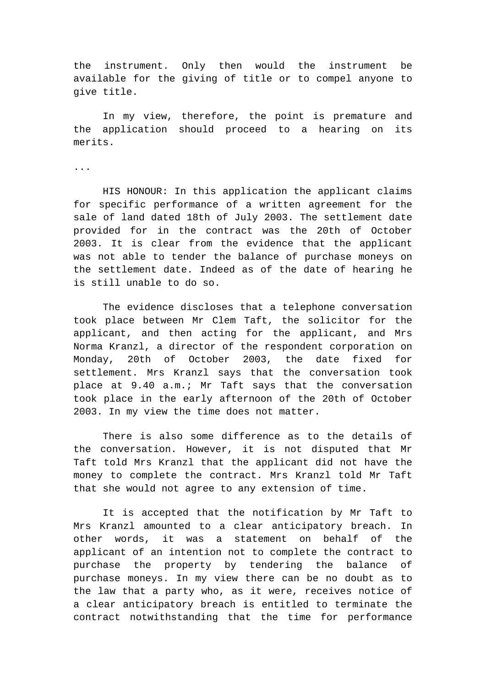the instrument. Only then would the instrument be available for the giving of title or to compel anyone to give title.

In my view, therefore, the point is premature and the application should proceed to a hearing on its merits.

...

HIS HONOUR: In this application the applicant claims for specific performance of a written agreement for the sale of land dated 18th of July 2003. The settlement date provided for in the contract was the 20th of October 2003. It is clear from the evidence that the applicant was not able to tender the balance of purchase moneys on the settlement date. Indeed as of the date of hearing he is still unable to do so.

The evidence discloses that a telephone conversation took place between Mr Clem Taft, the solicitor for the applicant, and then acting for the applicant, and Mrs Norma Kranzl, a director of the respondent corporation on Monday, 20th of October 2003, the date fixed for settlement. Mrs Kranzl says that the conversation took place at 9.40 a.m.; Mr Taft says that the conversation took place in the early afternoon of the 20th of October 2003. In my view the time does not matter.

There is also some difference as to the details of the conversation. However, it is not disputed that Mr Taft told Mrs Kranzl that the applicant did not have the money to complete the contract. Mrs Kranzl told Mr Taft that she would not agree to any extension of time.

It is accepted that the notification by Mr Taft to Mrs Kranzl amounted to a clear anticipatory breach. In other words, it was a statement on behalf of the applicant of an intention not to complete the contract to purchase the property by tendering the balance of purchase moneys. In my view there can be no doubt as to the law that a party who, as it were, receives notice of a clear anticipatory breach is entitled to terminate the contract notwithstanding that the time for performance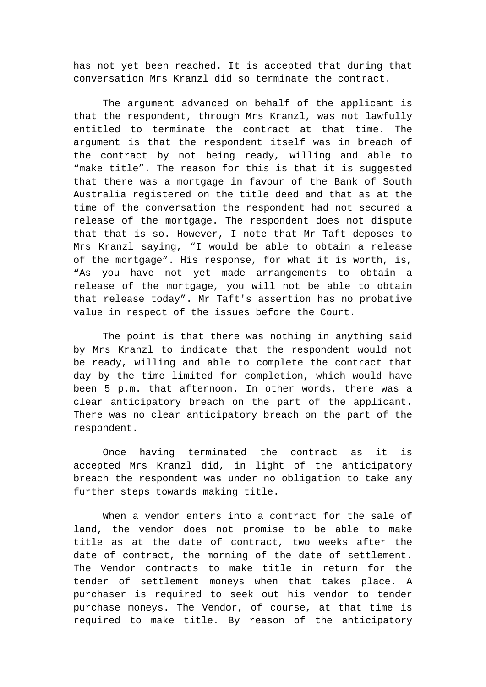has not yet been reached. It is accepted that during that conversation Mrs Kranzl did so terminate the contract.

The argument advanced on behalf of the applicant is that the respondent, through Mrs Kranzl, was not lawfully entitled to terminate the contract at that time. The argument is that the respondent itself was in breach of the contract by not being ready, willing and able to "make title". The reason for this is that it is suggested that there was a mortgage in favour of the Bank of South Australia registered on the title deed and that as at the time of the conversation the respondent had not secured a release of the mortgage. The respondent does not dispute that that is so. However, I note that Mr Taft deposes to Mrs Kranzl saying, "I would be able to obtain a release of the mortgage". His response, for what it is worth, is, "As you have not yet made arrangements to obtain a release of the mortgage, you will not be able to obtain that release today". Mr Taft's assertion has no probative value in respect of the issues before the Court.

The point is that there was nothing in anything said by Mrs Kranzl to indicate that the respondent would not be ready, willing and able to complete the contract that day by the time limited for completion, which would have been 5 p.m. that afternoon. In other words, there was a clear anticipatory breach on the part of the applicant. There was no clear anticipatory breach on the part of the respondent.

Once having terminated the contract as it is accepted Mrs Kranzl did, in light of the anticipatory breach the respondent was under no obligation to take any further steps towards making title.

When a vendor enters into a contract for the sale of land, the vendor does not promise to be able to make title as at the date of contract, two weeks after the date of contract, the morning of the date of settlement. The Vendor contracts to make title in return for the tender of settlement moneys when that takes place. A purchaser is required to seek out his vendor to tender purchase moneys. The Vendor, of course, at that time is required to make title. By reason of the anticipatory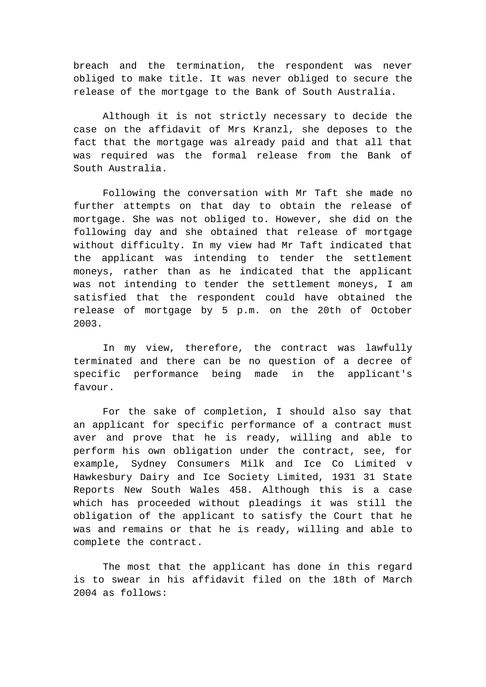breach and the termination, the respondent was never obliged to make title. It was never obliged to secure the release of the mortgage to the Bank of South Australia.

Although it is not strictly necessary to decide the case on the affidavit of Mrs Kranzl, she deposes to the fact that the mortgage was already paid and that all that was required was the formal release from the Bank of South Australia.

Following the conversation with Mr Taft she made no further attempts on that day to obtain the release of mortgage. She was not obliged to. However, she did on the following day and she obtained that release of mortgage without difficulty. In my view had Mr Taft indicated that the applicant was intending to tender the settlement moneys, rather than as he indicated that the applicant was not intending to tender the settlement moneys, I am satisfied that the respondent could have obtained the release of mortgage by 5 p.m. on the 20th of October 2003.

In my view, therefore, the contract was lawfully terminated and there can be no question of a decree of specific performance being made in the applicant's favour.

For the sake of completion, I should also say that an applicant for specific performance of a contract must aver and prove that he is ready, willing and able to perform his own obligation under the contract, see, for example, Sydney Consumers Milk and Ice Co Limited v Hawkesbury Dairy and Ice Society Limited, 1931 31 State Reports New South Wales 458. Although this is a case which has proceeded without pleadings it was still the obligation of the applicant to satisfy the Court that he was and remains or that he is ready, willing and able to complete the contract.

The most that the applicant has done in this regard is to swear in his affidavit filed on the 18th of March 2004 as follows: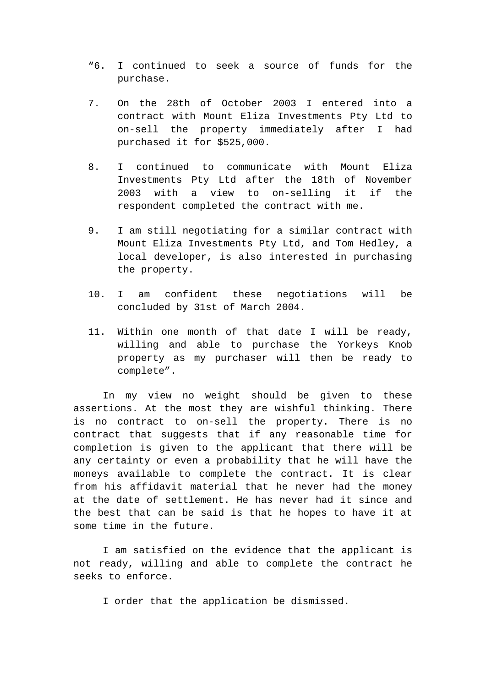- "6. I continued to seek a source of funds for the purchase.
- 7. On the 28th of October 2003 I entered into a contract with Mount Eliza Investments Pty Ltd to on-sell the property immediately after I had purchased it for \$525,000.
- 8. I continued to communicate with Mount Eliza Investments Pty Ltd after the 18th of November 2003 with a view to on-selling it if the respondent completed the contract with me.
- 9. I am still negotiating for a similar contract with Mount Eliza Investments Pty Ltd, and Tom Hedley, a local developer, is also interested in purchasing the property.
- 10. I am confident these negotiations will be concluded by 31st of March 2004.
- 11. Within one month of that date I will be ready, willing and able to purchase the Yorkeys Knob property as my purchaser will then be ready to complete".

In my view no weight should be given to these assertions. At the most they are wishful thinking. There is no contract to on-sell the property. There is no contract that suggests that if any reasonable time for completion is given to the applicant that there will be any certainty or even a probability that he will have the moneys available to complete the contract. It is clear from his affidavit material that he never had the money at the date of settlement. He has never had it since and the best that can be said is that he hopes to have it at some time in the future.

I am satisfied on the evidence that the applicant is not ready, willing and able to complete the contract he seeks to enforce.

I order that the application be dismissed.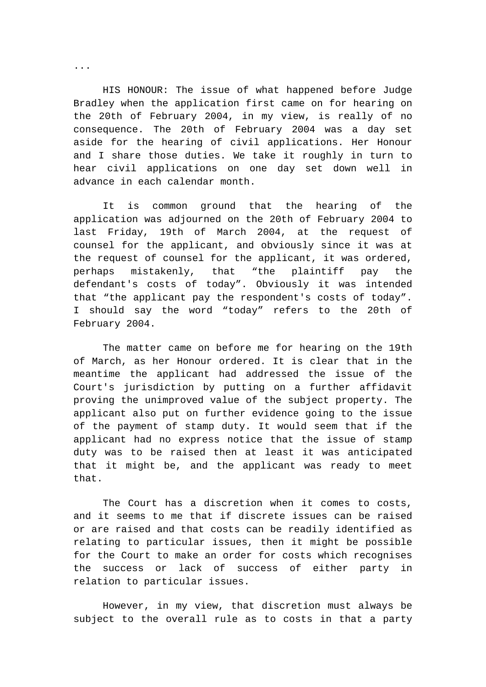HIS HONOUR: The issue of what happened before Judge Bradley when the application first came on for hearing on the 20th of February 2004, in my view, is really of no consequence. The 20th of February 2004 was a day set aside for the hearing of civil applications. Her Honour and I share those duties. We take it roughly in turn to hear civil applications on one day set down well in advance in each calendar month.

It is common ground that the hearing of the application was adjourned on the 20th of February 2004 to last Friday, 19th of March 2004, at the request of counsel for the applicant, and obviously since it was at the request of counsel for the applicant, it was ordered, perhaps mistakenly, that "the plaintiff pay the defendant's costs of today". Obviously it was intended that "the applicant pay the respondent's costs of today". I should say the word "today" refers to the 20th of February 2004.

The matter came on before me for hearing on the 19th of March, as her Honour ordered. It is clear that in the meantime the applicant had addressed the issue of the Court's jurisdiction by putting on a further affidavit proving the unimproved value of the subject property. The applicant also put on further evidence going to the issue of the payment of stamp duty. It would seem that if the applicant had no express notice that the issue of stamp duty was to be raised then at least it was anticipated that it might be, and the applicant was ready to meet that.

The Court has a discretion when it comes to costs, and it seems to me that if discrete issues can be raised or are raised and that costs can be readily identified as relating to particular issues, then it might be possible for the Court to make an order for costs which recognises the success or lack of success of either party in relation to particular issues.

However, in my view, that discretion must always be subject to the overall rule as to costs in that a party

...